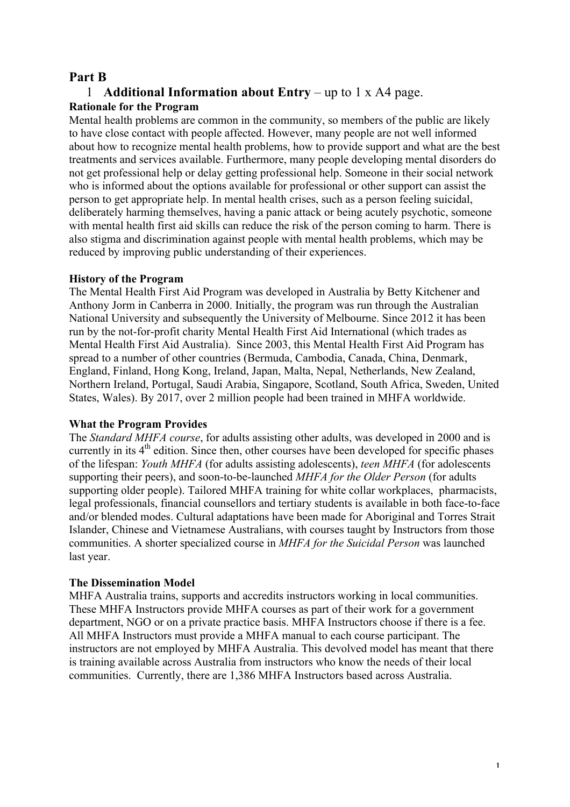# **Part B**

# 1 **Additional Information about Entry** – up to 1 x A4 page.

# **Rationale for the Program**

Mental health problems are common in the community, so members of the public are likely to have close contact with people affected. However, many people are not well informed about how to recognize mental health problems, how to provide support and what are the best treatments and services available. Furthermore, many people developing mental disorders do not get professional help or delay getting professional help. Someone in their social network who is informed about the options available for professional or other support can assist the person to get appropriate help. In mental health crises, such as a person feeling suicidal, deliberately harming themselves, having a panic attack or being acutely psychotic, someone with mental health first aid skills can reduce the risk of the person coming to harm. There is also stigma and discrimination against people with mental health problems, which may be reduced by improving public understanding of their experiences.

# **History of the Program**

The Mental Health First Aid Program was developed in Australia by Betty Kitchener and Anthony Jorm in Canberra in 2000. Initially, the program was run through the Australian National University and subsequently the University of Melbourne. Since 2012 it has been run by the not-for-profit charity Mental Health First Aid International (which trades as Mental Health First Aid Australia). Since 2003, this Mental Health First Aid Program has spread to a number of other countries (Bermuda, Cambodia, Canada, China, Denmark, England, Finland, Hong Kong, Ireland, Japan, Malta, Nepal, Netherlands, New Zealand, Northern Ireland, Portugal, Saudi Arabia, Singapore, Scotland, South Africa, Sweden, United States, Wales). By 2017, over 2 million people had been trained in MHFA worldwide.

# **What the Program Provides**

The *Standard MHFA course*, for adults assisting other adults, was developed in 2000 and is currently in its  $4<sup>th</sup>$  edition. Since then, other courses have been developed for specific phases of the lifespan: *Youth MHFA* (for adults assisting adolescents), *teen MHFA* (for adolescents supporting their peers), and soon-to-be-launched *MHFA for the Older Person* (for adults supporting older people). Tailored MHFA training for white collar workplaces, pharmacists, legal professionals, financial counsellors and tertiary students is available in both face-to-face and/or blended modes. Cultural adaptations have been made for Aboriginal and Torres Strait Islander, Chinese and Vietnamese Australians, with courses taught by Instructors from those communities. A shorter specialized course in *MHFA for the Suicidal Person* was launched last year.

# **The Dissemination Model**

MHFA Australia trains, supports and accredits instructors working in local communities. These MHFA Instructors provide MHFA courses as part of their work for a government department, NGO or on a private practice basis. MHFA Instructors choose if there is a fee. All MHFA Instructors must provide a MHFA manual to each course participant. The instructors are not employed by MHFA Australia. This devolved model has meant that there is training available across Australia from instructors who know the needs of their local communities. Currently, there are 1,386 MHFA Instructors based across Australia.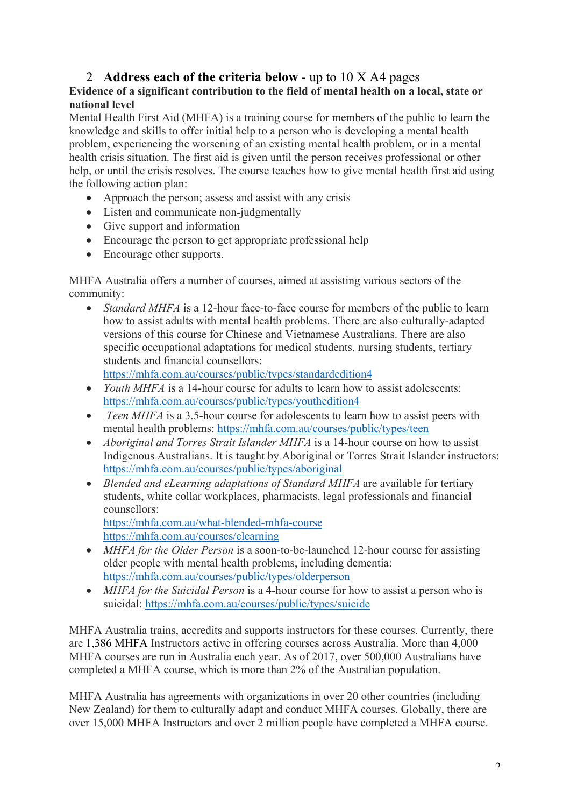# 2 **Address each of the criteria below** - up to 10 X A4 pages

# **Evidence of a significant contribution to the field of mental health on a local, state or national level**

Mental Health First Aid (MHFA) is a training course for members of the public to learn the knowledge and skills to offer initial help to a person who is developing a mental health problem, experiencing the worsening of an existing mental health problem, or in a mental health crisis situation. The first aid is given until the person receives professional or other help, or until the crisis resolves. The course teaches how to give mental health first aid using the following action plan:

- Approach the person; assess and assist with any crisis
- Listen and communicate non-judgmentally
- Give support and information
- Encourage the person to get appropriate professional help
- Encourage other supports.

MHFA Australia offers a number of courses, aimed at assisting various sectors of the community:

• *Standard MHFA* is a 12-hour face-to-face course for members of the public to learn how to assist adults with mental health problems. There are also culturally-adapted versions of this course for Chinese and Vietnamese Australians. There are also specific occupational adaptations for medical students, nursing students, tertiary students and financial counsellors:

https://mhfa.com.au/courses/public/types/standardedition4

- *Youth MHFA* is a 14-hour course for adults to learn how to assist adolescents: https://mhfa.com.au/courses/public/types/youthedition4
- *Teen MHFA* is a 3.5-hour course for adolescents to learn how to assist peers with mental health problems: https://mhfa.com.au/courses/public/types/teen
- *Aboriginal and Torres Strait Islander MHFA* is a 14-hour course on how to assist Indigenous Australians. It is taught by Aboriginal or Torres Strait Islander instructors: https://mhfa.com.au/courses/public/types/aboriginal
- *Blended and eLearning adaptations of Standard MHFA* are available for tertiary students, white collar workplaces, pharmacists, legal professionals and financial counsellors:

https://mhfa.com.au/what-blended-mhfa-course https://mhfa.com.au/courses/elearning

- *MHFA for the Older Person* is a soon-to-be-launched 12-hour course for assisting older people with mental health problems, including dementia: https://mhfa.com.au/courses/public/types/olderperson
- *MHFA for the Suicidal Person* is a 4-hour course for how to assist a person who is suicidal: https://mhfa.com.au/courses/public/types/suicide

MHFA Australia trains, accredits and supports instructors for these courses. Currently, there are 1,386 MHFA Instructors active in offering courses across Australia. More than 4,000 MHFA courses are run in Australia each year. As of 2017, over 500,000 Australians have completed a MHFA course, which is more than 2% of the Australian population.

MHFA Australia has agreements with organizations in over 20 other countries (including New Zealand) for them to culturally adapt and conduct MHFA courses. Globally, there are over 15,000 MHFA Instructors and over 2 million people have completed a MHFA course.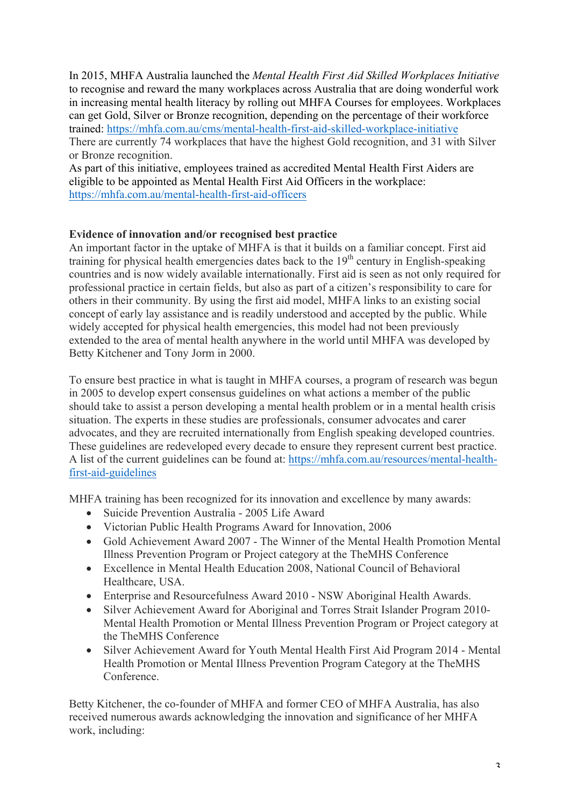In 2015, MHFA Australia launched the *Mental Health First Aid Skilled Workplaces Initiative*  to recognise and reward the many workplaces across Australia that are doing wonderful work in increasing mental health literacy by rolling out MHFA Courses for employees. Workplaces can get Gold, Silver or Bronze recognition, depending on the percentage of their workforce trained: https://mhfa.com.au/cms/mental-health-first-aid-skilled-workplace-initiative There are currently 74 workplaces that have the highest Gold recognition, and 31 with Silver or Bronze recognition.

As part of this initiative, employees trained as accredited Mental Health First Aiders are eligible to be appointed as Mental Health First Aid Officers in the workplace: https://mhfa.com.au/mental-health-first-aid-officers

# **Evidence of innovation and/or recognised best practice**

An important factor in the uptake of MHFA is that it builds on a familiar concept. First aid training for physical health emergencies dates back to the 19<sup>th</sup> century in English-speaking countries and is now widely available internationally. First aid is seen as not only required for professional practice in certain fields, but also as part of a citizen's responsibility to care for others in their community. By using the first aid model, MHFA links to an existing social concept of early lay assistance and is readily understood and accepted by the public. While widely accepted for physical health emergencies, this model had not been previously extended to the area of mental health anywhere in the world until MHFA was developed by Betty Kitchener and Tony Jorm in 2000.

To ensure best practice in what is taught in MHFA courses, a program of research was begun in 2005 to develop expert consensus guidelines on what actions a member of the public should take to assist a person developing a mental health problem or in a mental health crisis situation. The experts in these studies are professionals, consumer advocates and carer advocates, and they are recruited internationally from English speaking developed countries. These guidelines are redeveloped every decade to ensure they represent current best practice. A list of the current guidelines can be found at: https://mhfa.com.au/resources/mental-healthfirst-aid-guidelines

MHFA training has been recognized for its innovation and excellence by many awards:

- Suicide Prevention Australia 2005 Life Award
- Victorian Public Health Programs Award for Innovation, 2006
- Gold Achievement Award 2007 The Winner of the Mental Health Promotion Mental Illness Prevention Program or Project category at the TheMHS Conference
- Excellence in Mental Health Education 2008, National Council of Behavioral Healthcare, USA.
- Enterprise and Resourcefulness Award 2010 NSW Aboriginal Health Awards.
- Silver Achievement Award for Aboriginal and Torres Strait Islander Program 2010- Mental Health Promotion or Mental Illness Prevention Program or Project category at the TheMHS Conference
- Silver Achievement Award for Youth Mental Health First Aid Program 2014 Mental Health Promotion or Mental Illness Prevention Program Category at the TheMHS Conference.

Betty Kitchener, the co-founder of MHFA and former CEO of MHFA Australia, has also received numerous awards acknowledging the innovation and significance of her MHFA work, including: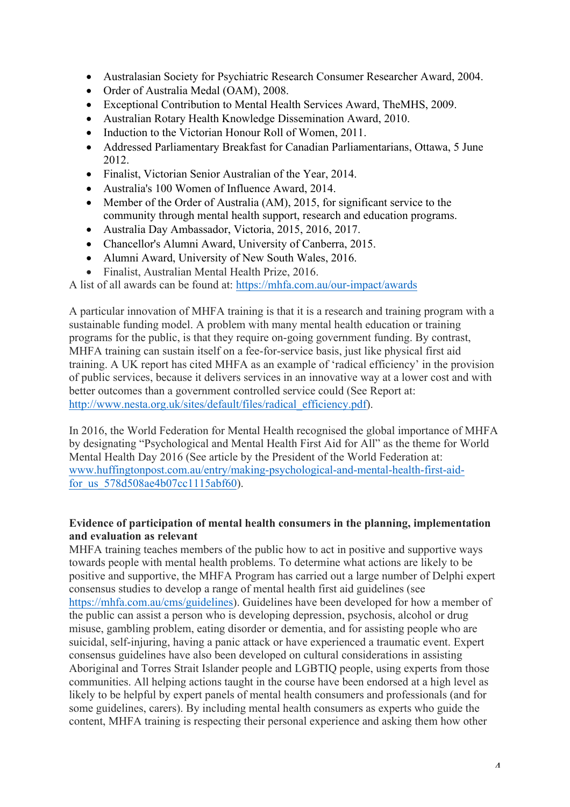- Australasian Society for Psychiatric Research Consumer Researcher Award, 2004.
- Order of Australia Medal (OAM), 2008.
- Exceptional Contribution to Mental Health Services Award, TheMHS, 2009.
- Australian Rotary Health Knowledge Dissemination Award, 2010.
- Induction to the Victorian Honour Roll of Women, 2011.
- Addressed Parliamentary Breakfast for Canadian Parliamentarians, Ottawa, 5 June 2012.
- Finalist, Victorian Senior Australian of the Year, 2014.
- Australia's 100 Women of Influence Award, 2014.
- Member of the Order of Australia (AM), 2015, for significant service to the community through mental health support, research and education programs.
- Australia Day Ambassador, Victoria, 2015, 2016, 2017.
- Chancellor's Alumni Award, University of Canberra, 2015.
- Alumni Award, University of New South Wales, 2016.
- Finalist, Australian Mental Health Prize, 2016.

A list of all awards can be found at: https://mhfa.com.au/our-impact/awards

A particular innovation of MHFA training is that it is a research and training program with a sustainable funding model. A problem with many mental health education or training programs for the public, is that they require on-going government funding. By contrast, MHFA training can sustain itself on a fee-for-service basis, just like physical first aid training. A UK report has cited MHFA as an example of 'radical efficiency' in the provision of public services, because it delivers services in an innovative way at a lower cost and with better outcomes than a government controlled service could (See Report at: http://www.nesta.org.uk/sites/default/files/radical\_efficiency.pdf).

In 2016, the World Federation for Mental Health recognised the global importance of MHFA by designating "Psychological and Mental Health First Aid for All" as the theme for World Mental Health Day 2016 (See article by the President of the World Federation at: www.huffingtonpost.com.au/entry/making-psychological-and-mental-health-first-aidfor us 578d508ae4b07cc1115abf60).

# **Evidence of participation of mental health consumers in the planning, implementation and evaluation as relevant**

MHFA training teaches members of the public how to act in positive and supportive ways towards people with mental health problems. To determine what actions are likely to be positive and supportive, the MHFA Program has carried out a large number of Delphi expert consensus studies to develop a range of mental health first aid guidelines (see https://mhfa.com.au/cms/guidelines). Guidelines have been developed for how a member of the public can assist a person who is developing depression, psychosis, alcohol or drug misuse, gambling problem, eating disorder or dementia, and for assisting people who are suicidal, self-injuring, having a panic attack or have experienced a traumatic event. Expert consensus guidelines have also been developed on cultural considerations in assisting Aboriginal and Torres Strait Islander people and LGBTIQ people, using experts from those communities. All helping actions taught in the course have been endorsed at a high level as likely to be helpful by expert panels of mental health consumers and professionals (and for some guidelines, carers). By including mental health consumers as experts who guide the content, MHFA training is respecting their personal experience and asking them how other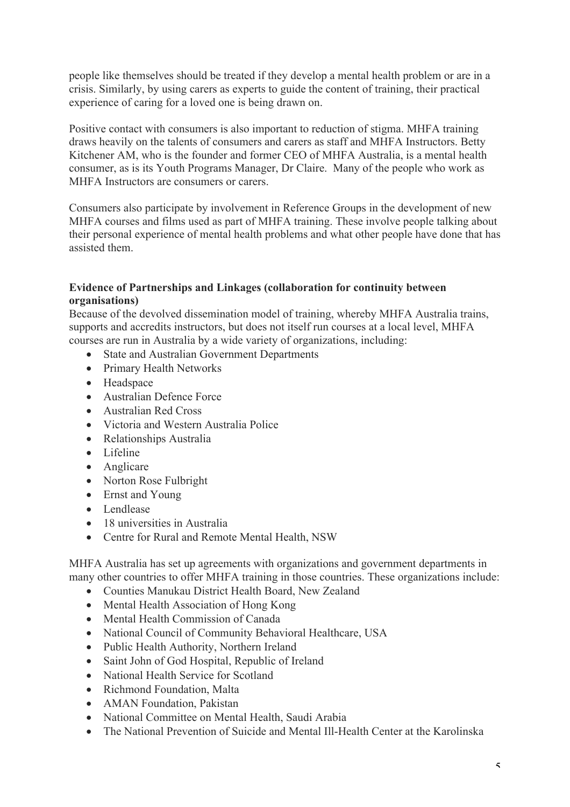people like themselves should be treated if they develop a mental health problem or are in a crisis. Similarly, by using carers as experts to guide the content of training, their practical experience of caring for a loved one is being drawn on.

Positive contact with consumers is also important to reduction of stigma. MHFA training draws heavily on the talents of consumers and carers as staff and MHFA Instructors. Betty Kitchener AM, who is the founder and former CEO of MHFA Australia, is a mental health consumer, as is its Youth Programs Manager, Dr Claire. Many of the people who work as MHFA Instructors are consumers or carers.

Consumers also participate by involvement in Reference Groups in the development of new MHFA courses and films used as part of MHFA training. These involve people talking about their personal experience of mental health problems and what other people have done that has assisted them.

# **Evidence of Partnerships and Linkages (collaboration for continuity between organisations)**

Because of the devolved dissemination model of training, whereby MHFA Australia trains, supports and accredits instructors, but does not itself run courses at a local level, MHFA courses are run in Australia by a wide variety of organizations, including:

- State and Australian Government Departments
- Primary Health Networks
- Headspace
- Australian Defence Force
- Australian Red Cross
- Victoria and Western Australia Police
- Relationships Australia
- Lifeline
- Anglicare
- Norton Rose Fulbright
- Ernst and Young
- Lendlease
- 18 universities in Australia
- Centre for Rural and Remote Mental Health, NSW

MHFA Australia has set up agreements with organizations and government departments in many other countries to offer MHFA training in those countries. These organizations include:

- Counties Manukau District Health Board, New Zealand
- Mental Health Association of Hong Kong
- Mental Health Commission of Canada
- National Council of Community Behavioral Healthcare, USA
- Public Health Authority, Northern Ireland
- Saint John of God Hospital, Republic of Ireland
- National Health Service for Scotland
- Richmond Foundation, Malta
- AMAN Foundation, Pakistan
- National Committee on Mental Health, Saudi Arabia
- The National Prevention of Suicide and Mental III-Health Center at the Karolinska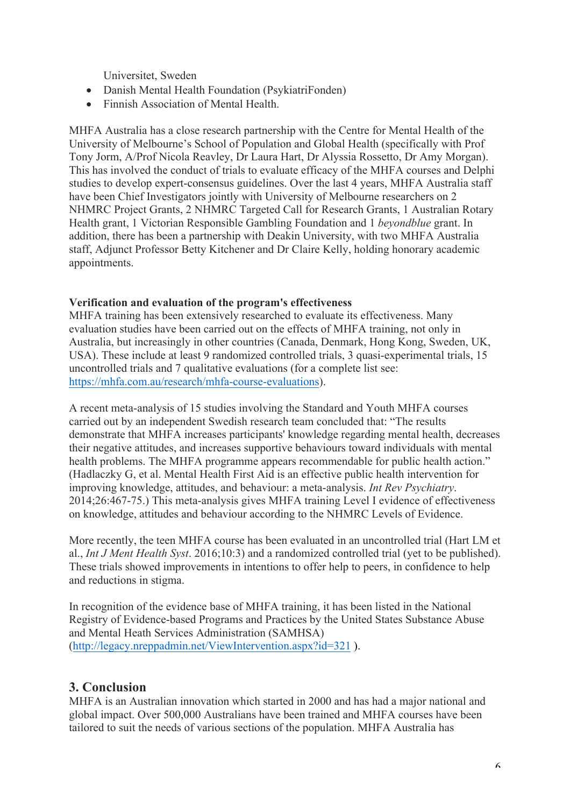Universitet, Sweden

- Danish Mental Health Foundation (PsykiatriFonden)
- Finnish Association of Mental Health.

MHFA Australia has a close research partnership with the Centre for Mental Health of the University of Melbourne's School of Population and Global Health (specifically with Prof Tony Jorm, A/Prof Nicola Reavley, Dr Laura Hart, Dr Alyssia Rossetto, Dr Amy Morgan). This has involved the conduct of trials to evaluate efficacy of the MHFA courses and Delphi studies to develop expert-consensus guidelines. Over the last 4 years, MHFA Australia staff have been Chief Investigators jointly with University of Melbourne researchers on 2 NHMRC Project Grants, 2 NHMRC Targeted Call for Research Grants, 1 Australian Rotary Health grant, 1 Victorian Responsible Gambling Foundation and 1 *beyondblue* grant. In addition, there has been a partnership with Deakin University, with two MHFA Australia staff, Adjunct Professor Betty Kitchener and Dr Claire Kelly, holding honorary academic appointments.

# **Verification and evaluation of the program's effectiveness**

MHFA training has been extensively researched to evaluate its effectiveness. Many evaluation studies have been carried out on the effects of MHFA training, not only in Australia, but increasingly in other countries (Canada, Denmark, Hong Kong, Sweden, UK, USA). These include at least 9 randomized controlled trials, 3 quasi-experimental trials, 15 uncontrolled trials and 7 qualitative evaluations (for a complete list see: https://mhfa.com.au/research/mhfa-course-evaluations).

A recent meta-analysis of 15 studies involving the Standard and Youth MHFA courses carried out by an independent Swedish research team concluded that: "The results demonstrate that MHFA increases participants' knowledge regarding mental health, decreases their negative attitudes, and increases supportive behaviours toward individuals with mental health problems. The MHFA programme appears recommendable for public health action." (Hadlaczky G, et al. Mental Health First Aid is an effective public health intervention for improving knowledge, attitudes, and behaviour: a meta-analysis. *Int Rev Psychiatry*. 2014;26:467-75.) This meta-analysis gives MHFA training Level I evidence of effectiveness on knowledge, attitudes and behaviour according to the NHMRC Levels of Evidence.

More recently, the teen MHFA course has been evaluated in an uncontrolled trial (Hart LM et al., *Int J Ment Health Syst*. 2016;10:3) and a randomized controlled trial (yet to be published). These trials showed improvements in intentions to offer help to peers, in confidence to help and reductions in stigma.

In recognition of the evidence base of MHFA training, it has been listed in the National Registry of Evidence-based Programs and Practices by the United States Substance Abuse and Mental Heath Services Administration (SAMHSA) (http://legacy.nreppadmin.net/ViewIntervention.aspx?id=321 ).

# **3. Conclusion**

MHFA is an Australian innovation which started in 2000 and has had a major national and global impact. Over 500,000 Australians have been trained and MHFA courses have been tailored to suit the needs of various sections of the population. MHFA Australia has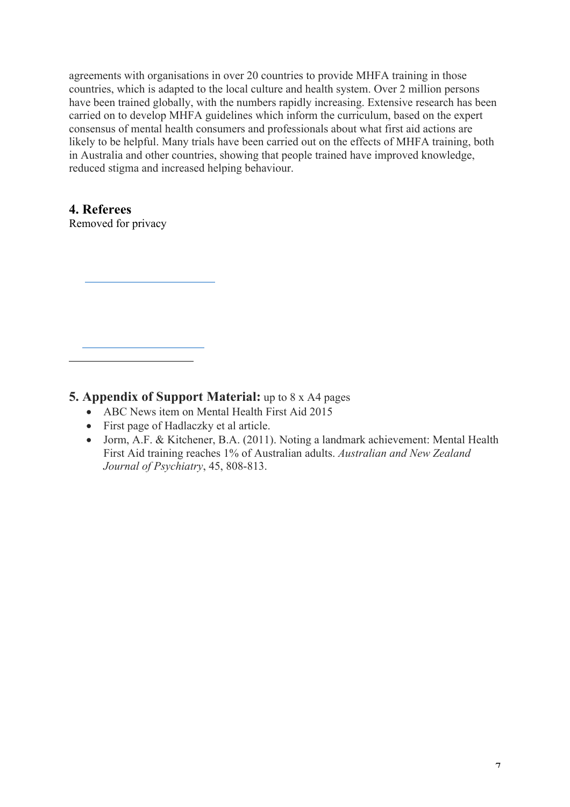agreements with organisations in over 20 countries to provide MHFA training in those countries, which is adapted to the local culture and health system. Over 2 million persons have been trained globally, with the numbers rapidly increasing. Extensive research has been carried on to develop MHFA guidelines which inform the curriculum, based on the expert consensus of mental health consumers and professionals about what first aid actions are likely to be helpful. Many trials have been carried out on the effects of MHFA training, both in Australia and other countries, showing that people trained have improved knowledge, reduced stigma and increased helping behaviour.

# **4. Referees**

Removed for privacy

# **5. Appendix of Support Material:** up to 8 x A4 pages

- ABC News item on Mental Health First Aid 2015
- First page of Hadlaczky et al article.
- Jorm, A.F. & Kitchener, B.A. (2011). Noting a landmark achievement: Mental Health First Aid training reaches 1% of Australian adults. *Australian and New Zealand Journal of Psychiatry*, 45, 808-813.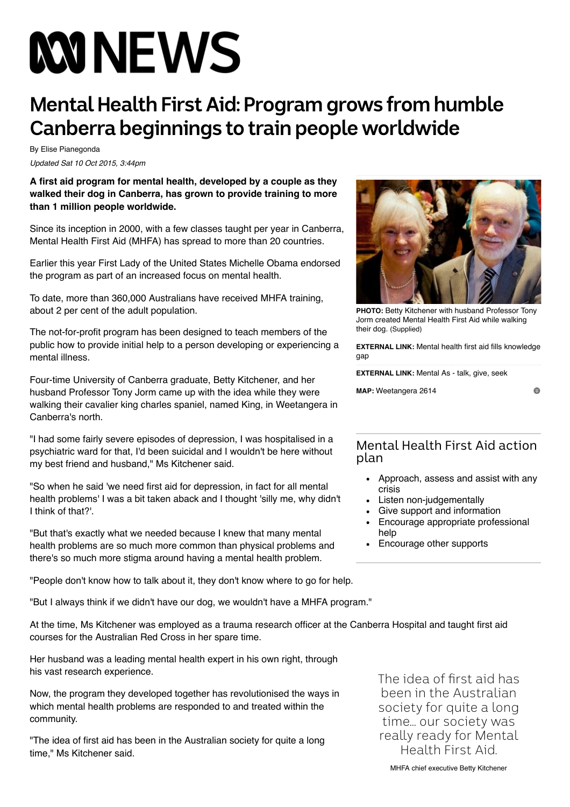# **MNNEWS**

# **Mental Health First Aid: Program grows from humble Canberra beginnings to train people worldwide**

By Elise Pianegonda Updated Sat 10 Oct 2015, 3:44pm

**A first aid program for mental health, developed by a couple as they walked their dog in Canberra, has grown to provide training to more than 1 million people worldwide.**

Since its inception in 2000, with a few classes taught per year in Canberra, Mental Health First Aid (MHFA) has spread to more than 20 countries.

Earlier this year First Lady of the United States Michelle Obama endorsed the program as part of an increased focus on mental health.

To date, more than 360,000 Australians have received MHFA training, about 2 per cent of the adult population.

The not-for-profit program has been designed to teach members of the public how to provide initial help to a person developing or experiencing a mental illness.

Four-time University of Canberra graduate, Betty Kitchener, and her husband Professor Tony Jorm came up with the idea while they were walking their cavalier king charles spaniel, named King, in Weetangera in Canberra's north.

"I had some fairly severe episodes of depression, I was hospitalised in a psychiatric ward for that, I'd been suicidal and I wouldn't be here without my best friend and husband," Ms Kitchener said.

"So when he said 'we need first aid for depression, in fact for all mental health problems' I was a bit taken aback and I thought 'silly me, why didn't I think of that?'.

"But that's exactly what we needed because I knew that many mental health problems are so much more common than physical problems and there's so much more stigma around having a mental health problem.

"People don't know how to talk about it, they don't know where to go for help.

"But I always think if we didn't have our dog, we wouldn't have a MHFA program."

At the time, Ms Kitchener was employed as a trauma research officer at the Canberra Hospital and taught first aid courses for the Australian Red Cross in her spare time.

Her husband was a leading mental health expert in his own right, through his vast research experience.

Now, the program they developed together has revolutionised the ways in which mental health problems are responded to and treated within the community.

"The idea of first aid has been in the Australian society for quite a long time," Ms Kitchener said.



**PHOTO:** Betty Kitchener with husband Professor Tony Jorm created Mental Health First Aid while walking their dog. (Supplied)

**EXTERNAL LINK:** Mental health first aid fills knowledge gap

**EXTERNAL LINK:** Mental As - talk, give, seek

```
MAP: Weetangera 2614
```
#### ø

# Mental Health First Aid action plan

- Approach, assess and assist with any crisis
- Listen non-judgementally
- Give support and information
- Encourage appropriate professional help
- Encourage other supports

The idea of first aid has been in the Australian society for quite a long time... our society was really ready for Mental Health First Aid.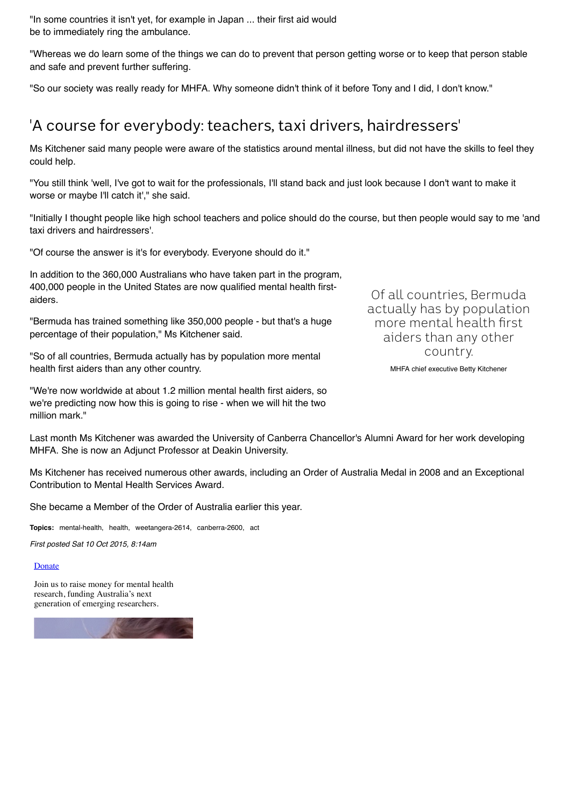"In some countries it isn't yet, for example in Japan ... their first aid would be to immediately ring the ambulance.

"Whereas we do learn some of the things we can do to prevent that person getting worse or to keep that person stable and safe and prevent further suffering.

"So our society was really ready for MHFA. Why someone didn't think of it before Tony and I did, I don't know."

# 'A course for everybody: teachers, taxi drivers, hairdressers'

Ms Kitchener said many people were aware of the statistics around mental illness, but did not have the skills to feel they could help.

"You still think 'well, I've got to wait for the professionals, I'll stand back and just look because I don't want to make it worse or maybe I'll catch it'," she said.

"Initially I thought people like high school teachers and police should do the course, but then people would say to me 'and taxi drivers and hairdressers'.

"Of course the answer is it's for everybody. Everyone should do it."

In addition to the 360,000 Australians who have taken part in the program, 400,000 people in the United States are now qualified mental health firstaiders.

"Bermuda has trained something like 350,000 people - but that's a huge percentage of their population," Ms Kitchener said.

"So of all countries, Bermuda actually has by population more mental health first aiders than any other country.

"We're now worldwide at about 1.2 million mental health first aiders, so we're predicting now how this is going to rise - when we will hit the two million mark."

Of all countries, Bermuda actually has by population more mental health first aiders than any other country.

MHFA chief executive Betty Kitchener

Last month Ms Kitchener was awarded the University of Canberra Chancellor's Alumni Award for her work developing MHFA. She is now an Adjunct Professor at Deakin University.

Ms Kitchener has received numerous other awards, including an Order of Australia Medal in 2008 and an Exceptional Contribution to Mental Health Services Award.

She became a Member of the Order of Australia earlier this year.

**Topics:** mental-health, health, weetangera-2614, canberra-2600, act

First posted Sat 10 Oct 2015, 8:14am

## Donate

Join us to raise money for mental health research, funding Australia's next generation of emerging researchers.

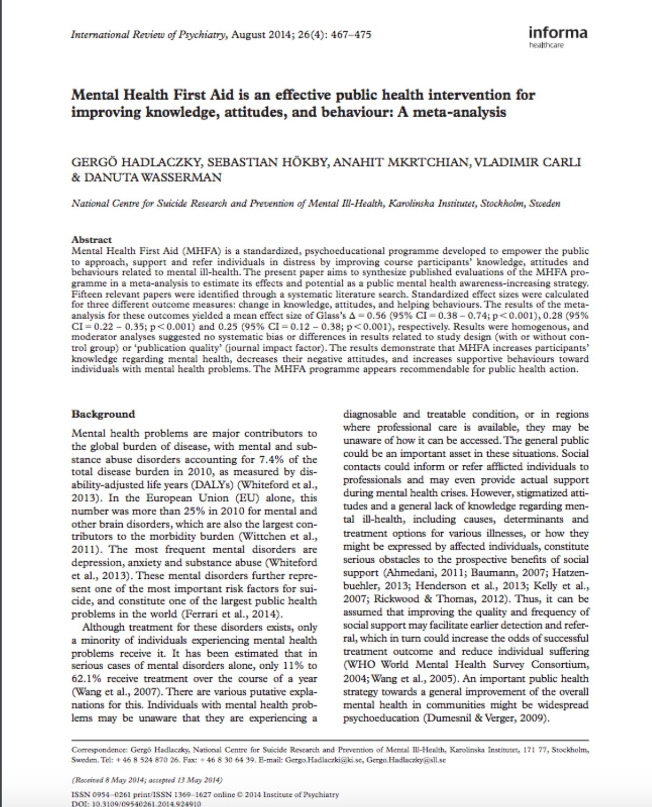# Mental Health First Aid is an effective public health intervention for improving knowledge, attitudes, and behaviour: A meta-analysis

## GERGÖ HADLACZKY, SEBASTIAN HÖKBY, ANAHIT MKRTCHIAN, VLADIMIR CARLI & DANUTA WASSERMAN

National Centre for Suicide Research and Prevention of Mental Ill-Health, Karolinska Institutet, Stockholm, Stoeden

## **Abstract**

Mental Health First Aid (MHFA) is a standardized, psychoeducational programme developed to empower the public to approach, support and refer individuals in distress by improving course participants' knowledge, attitudes and behaviours related to mental ill-health. The present paper aims to synthesize published evaluations of the MHFA programme in a meta-analysis to estimate its effects and potential as a public mental health awareness-increasing strategy. Fifteen relevant papers were identified through a systematic literature search. Standardized effect sizes were calculated for three different outcome measures: change in knowledge, attitudes, and helping behaviours. The results of the metaanalysis for these outcomes yielded a mean effect size of Glass's  $\Delta$  = 0.56 (95% CI = 0.38 - 0.74; p < 0.001), 0.28 (95%  $CI = 0.22 - 0.35$ ;  $p < 0.001$ ) and 0.25 (95%  $CI = 0.12 - 0.38$ ;  $p < 0.001$ ), respectively. Results were homogenous, and moderator analyses suggested no systematic bias or differences in results related to study design (with or without control group) or 'publication quality' (journal impact factor). The results demonstrate that MHFA increases participants' knowledge regarding mental health, decreases their negative attitudes, and increases supportive behaviours toward individuals with mental health problems. The MHFA programme appears recommendable for public health action.

## **Background**

Mental health problems are major contributors to the global burden of disease, with mental and substance abuse disorders accounting for 7.4% of the total disease burden in 2010, as measured by disability-adjusted life years (DALYs) (Whiteford et al., 2013). In the European Union (EU) alone, this number was more than 25% in 2010 for mental and other brain disorders, which are also the largest contributors to the morbidity burden (Wittchen et al., 2011). The most frequent mental disorders are depression, anxiety and substance abuse (Whiteford et al., 2013). These mental disorders further represent one of the most important risk factors for suicide, and constitute one of the largest public health problems in the world (Ferrari et al., 2014).

Although treatment for these disorders exists, only a minority of individuals experiencing mental health problems receive it. It has been estimated that in serious cases of mental disorders alone, only 11% to 62.1% receive treatment over the course of a year (Wang et al., 2007). There are various putative explanations for this. Individuals with mental health problems may be unaware that they are experiencing a

diagnosable and treatable condition, or in regions where professional care is available, they may be unaware of how it can be accessed. The general public could be an important asset in these situations. Social contacts could inform or refer afflicted individuals to professionals and may even provide actual support during mental health crises. However, stigmatized attitudes and a general lack of knowledge regarding mental ill-health, including causes, determinants and treatment options for various illnesses, or how they might be expressed by affected individuals, constitute serious obstacles to the prospective benefits of social support (Ahmedani, 2011; Baumann, 2007; Hatzenbuehler, 2013; Henderson et al., 2013; Kelly et al., 2007; Rickwood & Thomas, 2012). Thus, it can be assumed that improving the quality and frequency of social support may facilitate earlier detection and referral, which in turn could increase the odds of successful treatment outcome and reduce individual suffering (WHO World Mental Health Survey Consortium, 2004; Wang et al., 2005). An important public health strategy towards a general improvement of the overall mental health in communities might be widespread psychoeducation (Dumesnil & Verger, 2009).

(Received 8 May 2014; accepted 13 May 2014)

ISSN 0954-0261 print/ISSN 1369-1627 online © 2014 Institute of Psychiatry DOI: 10.3109/09540261.2014.924910

Correspondence: Gergö Hadlaczky, National Centre for Suicide Research and Prevention of Mental III-Health, Karolinska Institutet, 171 77, Stockholm, Sweden. Tel: + 46 8 524 870 26. Fax: + 46 8 30 64 39. E-mail: Gergo.Hadlaczki@ki.se, Gergo.Hadlaczky@sll.se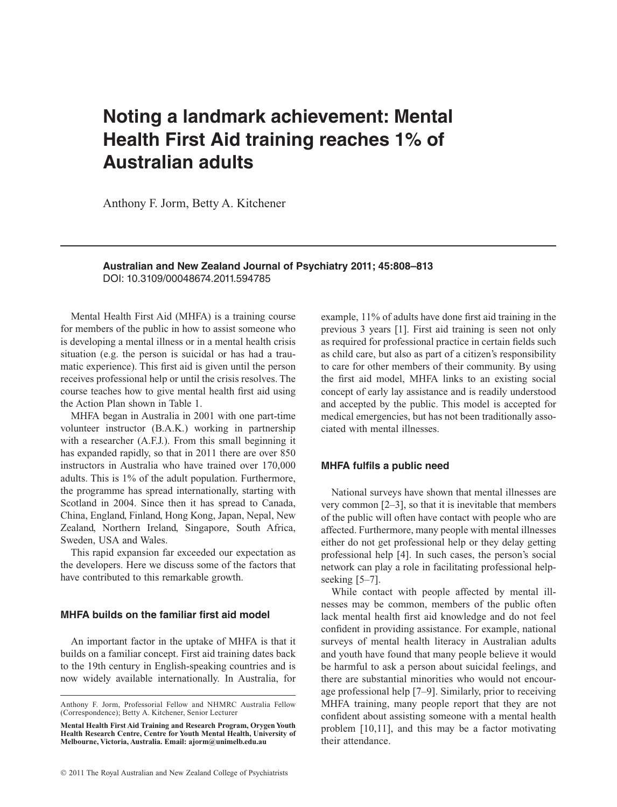# **Noting a landmark achievement: Mental Health First Aid training reaches 1% of Australian adults**

Anthony F. Jorm, Betty A. Kitchener

## **Australian and New Zealand Journal of Psychiatry 2011; 45:808–813** DOI: 10.3109/00048674.2011.594785

 Mental Health First Aid (MHFA) is a training course for members of the public in how to assist someone who is developing a mental illness or in a mental health crisis situation (e.g. the person is suicidal or has had a traumatic experience). This first aid is given until the person receives professional help or until the crisis resolves. The course teaches how to give mental health first aid using the Action Plan shown in Table 1.

 MHFA began in Australia in 2001 with one part-time volunteer instructor (B.A.K.) working in partnership with a researcher (A.F.J.). From this small beginning it has expanded rapidly, so that in 2011 there are over 850 instructors in Australia who have trained over 170,000 adults. This is 1% of the adult population. Furthermore, the programme has spread internationally, starting with Scotland in 2004. Since then it has spread to Canada, China, England, Finland, Hong Kong, Japan, Nepal, New Zealand, Northern Ireland, Singapore, South Africa, Sweden, USA and Wales.

 This rapid expansion far exceeded our expectation as the developers. Here we discuss some of the factors that have contributed to this remarkable growth.

## **MHFA builds on the familiar first aid model**

 An important factor in the uptake of MHFA is that it builds on a familiar concept. First aid training dates back to the 19th century in English-speaking countries and is now widely available internationally. In Australia, for

example, 11% of adults have done first aid training in the previous 3 years [1]. First aid training is seen not only as required for professional practice in certain fields such as child care, but also as part of a citizen's responsibility to care for other members of their community. By using the first aid model, MHFA links to an existing social concept of early lay assistance and is readily understood and accepted by the public. This model is accepted for medical emergencies, but has not been traditionally associated with mental illnesses.

## **MHFA fulfils a public need**

 National surveys have shown that mental illnesses are very common  $[2-3]$ , so that it is inevitable that members of the public will often have contact with people who are affected. Furthermore, many people with mental illnesses either do not get professional help or they delay getting professional help [4]. In such cases, the person's social network can play a role in facilitating professional helpseeking  $[5-7]$ .

 While contact with people affected by mental illnesses may be common, members of the public often lack mental health first aid knowledge and do not feel confident in providing assistance. For example, national surveys of mental health literacy in Australian adults and youth have found that many people believe it would be harmful to ask a person about suicidal feelings, and there are substantial minorities who would not encourage professional help  $[7-9]$ . Similarly, prior to receiving MHFA training, many people report that they are not confident about assisting someone with a mental health problem [10,11], and this may be a factor motivating their attendance.

Anthony F. Jorm, Professorial Fellow and NHMRC Australia Fellow (Correspondence); Betty A. Kitchener, Senior Lecturer

**Mental Health First Aid Training and Research Program, Orygen Youth Health Research Centre, Centre for Youth Mental Health, University of Melbourne, Victoria, Australia. Email: ajorm@unimelb.edu.au**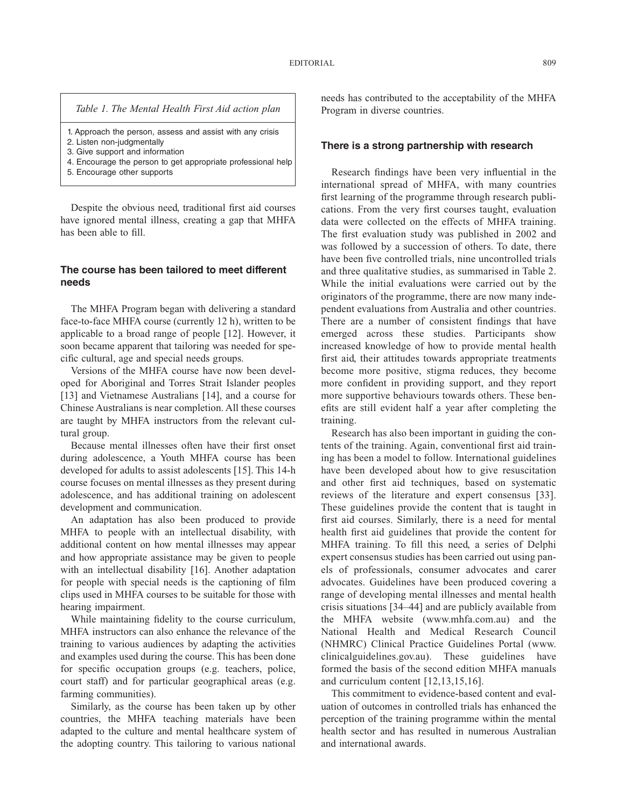#### *Table 1. The Mental Health First Aid action plan*

- 1. Approach the person, assess and assist with any crisis
- 2. Listen non-judgmentally
- 3. Give support and information
- 4. Encourage the person to get appropriate professional help
- 5. Encourage other supports

Despite the obvious need, traditional first aid courses have ignored mental illness, creating a gap that MHFA has been able to fill.

## **The course has been tailored to meet different needs**

 The MHFA Program began with delivering a standard face-to-face MHFA course (currently 12 h), written to be applicable to a broad range of people [12]. However, it soon became apparent that tailoring was needed for specific cultural, age and special needs groups.

 Versions of the MHFA course have now been developed for Aboriginal and Torres Strait Islander peoples [13] and Vietnamese Australians [14], and a course for Chinese Australians is near completion. All these courses are taught by MHFA instructors from the relevant cultural group.

Because mental illnesses often have their first onset during adolescence, a Youth MHFA course has been developed for adults to assist adolescents [15]. This 14-h course focuses on mental illnesses as they present during adolescence, and has additional training on adolescent development and communication.

 An adaptation has also been produced to provide MHFA to people with an intellectual disability, with additional content on how mental illnesses may appear and how appropriate assistance may be given to people with an intellectual disability [16]. Another adaptation for people with special needs is the captioning of film clips used in MHFA courses to be suitable for those with hearing impairment.

While maintaining fidelity to the course curriculum, MHFA instructors can also enhance the relevance of the training to various audiences by adapting the activities and examples used during the course. This has been done for specific occupation groups (e.g. teachers, police, court staff) and for particular geographical areas (e.g. farming communities).

 Similarly, as the course has been taken up by other countries, the MHFA teaching materials have been adapted to the culture and mental healthcare system of the adopting country. This tailoring to various national

needs has contributed to the acceptability of the MHFA Program in diverse countries.

## **There is a strong partnership with research**

Research findings have been very influential in the international spread of MHFA, with many countries first learning of the programme through research publications. From the very first courses taught, evaluation data were collected on the effects of MHFA training. The first evaluation study was published in 2002 and was followed by a succession of others. To date, there have been five controlled trials, nine uncontrolled trials and three qualitative studies, as summarised in Table 2. While the initial evaluations were carried out by the originators of the programme, there are now many independent evaluations from Australia and other countries. There are a number of consistent findings that have emerged across these studies. Participants show increased knowledge of how to provide mental health first aid, their attitudes towards appropriate treatments become more positive, stigma reduces, they become more confident in providing support, and they report more supportive behaviours towards others. These benefits are still evident half a year after completing the training.

 Research has also been important in guiding the contents of the training. Again, conventional first aid training has been a model to follow. International guidelines have been developed about how to give resuscitation and other first aid techniques, based on systematic reviews of the literature and expert consensus [33]. These guidelines provide the content that is taught in first aid courses. Similarly, there is a need for mental health first aid guidelines that provide the content for MHFA training. To fill this need, a series of Delphi expert consensus studies has been carried out using panels of professionals, consumer advocates and carer advocates. Guidelines have been produced covering a range of developing mental illnesses and mental health crisis situations [34 – 44] and are publicly available from the MHFA website (www.mhfa.com.au) and the National Health and Medical Research Council (NHMRC) Clinical Practice Guidelines Portal (www. clinicalguidelines.gov.au). These guidelines have formed the basis of the second edition MHFA manuals and curriculum content [12,13,15,16].

 This commitment to evidence-based content and evaluation of outcomes in controlled trials has enhanced the perception of the training programme within the mental health sector and has resulted in numerous Australian and international awards.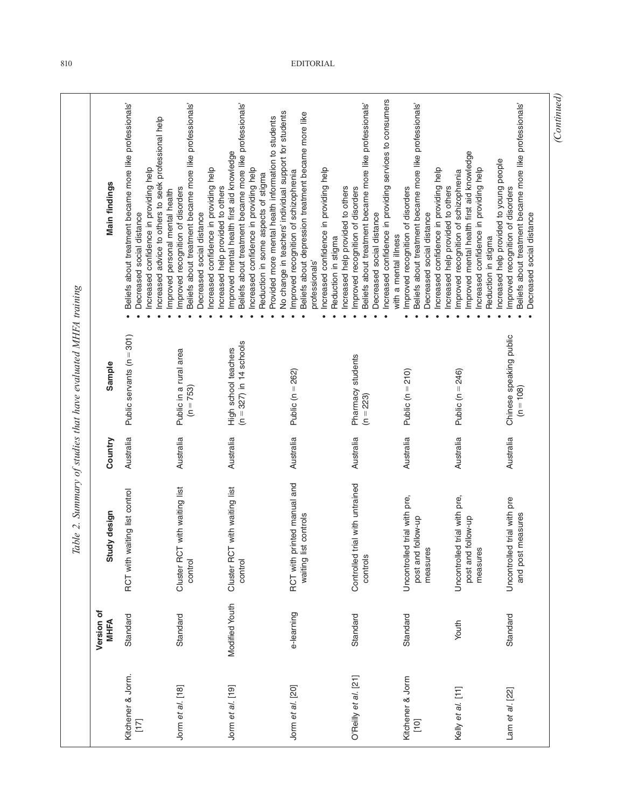| <b>Main findings</b><br>Sample | Beliefs about treatment became more like professionals'<br>Increased advice to others to seek professional help<br>Increased confidence in providing help<br>Decreased social distance<br>Public servants (n = 301) | Beliefs about treatment became more like professionals'<br>Increased confidence in providing help<br>Improved recognition of disorders<br>Improved personal mental health<br>Decreased social distance<br>Public in a rural area<br>$(n = 753)$ | Beliefs about treatment became more like professionals'<br>Provided more mental health information to students<br>Improved mental health first aid knowledge<br>Increased confidence in providing help<br>Reduction in some aspects of stigma<br>Increased help provided to others<br>$(n = 327)$ in 14 schools<br>High school teachers | No change in teachers' individual support for students<br>Beliefs about depression treatment became more like<br>Increased confidence in providing help<br>Improved recognition of schizophrenia<br>Reduction in stigma<br>professionals'<br>Public $(n = 262)$ | Increased confidence in providing services to consumers<br>Beliefs about treatment became more like professionals'<br>Increased help provided to others<br>Improved recognition of disorders<br>Decreased social distance<br>Pharmacy students<br>$(n = 223)$ | Beliefs about treatment became more like professionals'<br>Increased confidence in providing help<br>Improved recognition of disorders<br>Decreased social distance<br>with a mental illness<br>Public $(n = 210)$ | Improved mental health first aid knowledge<br>Increased confidence in providing help<br>Improved recognition of schizophrenia<br>Increased help provided to others<br>Reduction in stigma<br>Public $(n = 246)$ | Beliefs about treatment became more like professionals'<br>Increased help provided to young people<br>Improved recognition of disorders<br>Decreased social distance<br>Chinese speaking public<br>$(n = 108)$ |
|--------------------------------|---------------------------------------------------------------------------------------------------------------------------------------------------------------------------------------------------------------------|-------------------------------------------------------------------------------------------------------------------------------------------------------------------------------------------------------------------------------------------------|-----------------------------------------------------------------------------------------------------------------------------------------------------------------------------------------------------------------------------------------------------------------------------------------------------------------------------------------|-----------------------------------------------------------------------------------------------------------------------------------------------------------------------------------------------------------------------------------------------------------------|---------------------------------------------------------------------------------------------------------------------------------------------------------------------------------------------------------------------------------------------------------------|--------------------------------------------------------------------------------------------------------------------------------------------------------------------------------------------------------------------|-----------------------------------------------------------------------------------------------------------------------------------------------------------------------------------------------------------------|----------------------------------------------------------------------------------------------------------------------------------------------------------------------------------------------------------------|
| Country                        | Australia                                                                                                                                                                                                           | Australia                                                                                                                                                                                                                                       | Australia                                                                                                                                                                                                                                                                                                                               | Australia                                                                                                                                                                                                                                                       | Australia                                                                                                                                                                                                                                                     | Australia                                                                                                                                                                                                          | Australia                                                                                                                                                                                                       | Australia                                                                                                                                                                                                      |
| Study design                   | waiting list control<br>RCT with                                                                                                                                                                                    | Cluster RCT with waiting list<br>control                                                                                                                                                                                                        | Cluster RCT with waiting list<br>control                                                                                                                                                                                                                                                                                                | printed manual and<br>list controls<br>RCT with<br>waiting                                                                                                                                                                                                      | trial with untrained<br>Controlled<br>controls                                                                                                                                                                                                                | Uncontrolled trial with pre,<br>post and follow-up<br>measures                                                                                                                                                     | Uncontrolled trial with pre,<br>post and follow-up<br>measures                                                                                                                                                  | Uncontrolled trial with pre<br>and post measures                                                                                                                                                               |
| Version of<br><b>MHFA</b>      | Standard                                                                                                                                                                                                            | Standard                                                                                                                                                                                                                                        | Modified Youth                                                                                                                                                                                                                                                                                                                          | e-learning                                                                                                                                                                                                                                                      | Standard                                                                                                                                                                                                                                                      | Standard                                                                                                                                                                                                           | Youth                                                                                                                                                                                                           | Standard                                                                                                                                                                                                       |
|                                | Kitchener & Jorm.<br>$[17]$                                                                                                                                                                                         | Jorm et al. [18]                                                                                                                                                                                                                                | Jorm et al. [19]                                                                                                                                                                                                                                                                                                                        | Jorm et al. [20]                                                                                                                                                                                                                                                | O'Reilly et al. [21]                                                                                                                                                                                                                                          | Kitchener & Jorm<br>$[10]$                                                                                                                                                                                         | Kelly et al. [11]                                                                                                                                                                                               | Lam et al. [22]                                                                                                                                                                                                |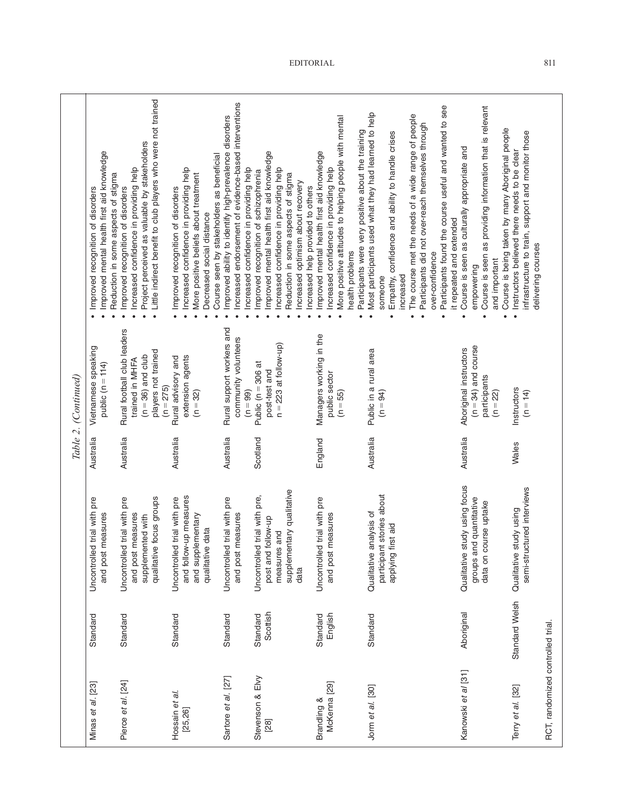|                                   |                      |                                                                                                         |           | Table 2. (Continued)                                                                                        |                                                                                                                                                                                                                                                                                                                                                       |
|-----------------------------------|----------------------|---------------------------------------------------------------------------------------------------------|-----------|-------------------------------------------------------------------------------------------------------------|-------------------------------------------------------------------------------------------------------------------------------------------------------------------------------------------------------------------------------------------------------------------------------------------------------------------------------------------------------|
| Minas et al. [23]                 | Standard             | Uncontrolled trial with pre<br>and post measures                                                        | Australia | Vietnamese speaking<br>public $(n = 114)$                                                                   | Improved mental health first aid knowledge<br>Reduction in some aspects of stigma<br>Improved recognition of disorders                                                                                                                                                                                                                                |
| Pierce et al. [24]                | Standard             | qualitative focus groups<br>Uncontrolled trial with pre<br>and post measures<br>supplemented with       | Australia | Rural football club leaders<br>players not trained<br>$(n = 36)$ and club<br>trained in MHFA<br>$(n = 275)$ | Little indirect benefit to club players who were not trained<br>Project perceived as valuable by stakeholders<br>Increased confidence in providing help<br>Improved recognition of disorders                                                                                                                                                          |
| Hossain et al.<br>[25, 26]        | Standard             | and follow-up measures<br>Uncontrolled trial with pre<br>and supplementary<br>qualitative data          | Australia | extension agents<br>Rural advisory and<br>$(n = 32)$                                                        | Course seen by stakeholders as beneficial<br>Increased confidence in providing help<br>More positive beliefs about treatment<br>Improved recognition of disorders<br>Decreased social distance                                                                                                                                                        |
| Sartore et al. [27]               | Standard             | Uncontrolled trial with pre<br>and post measures                                                        | Australia | Rural support workers and<br>community volunteers<br>$(n = 99)$                                             | Increased endorsement of evidence-based interventions<br>Improved ability to identify high-prevalence disorders<br>Increased confidence in providing help                                                                                                                                                                                             |
| Stevenson & Elvy<br>$[28]$        | Scottish<br>Standard | supplementary qualitative<br>Uncontrolled trial with pre,<br>post and follow-up<br>measures and<br>data | Scotland  | $n = 223$ at follow-up)<br>Public ( $n = 306$ at<br>post-test and                                           | Improved mental health first aid knowledge<br>Increased confidence in providing help<br>Improved recognition of schizophrenia<br>Reduction in some aspects of stigma<br>Increased optimism about recovery<br>Increased help provided to others                                                                                                        |
| McKenna [29]<br>Brandling &       | English<br>Standard  | Uncontrolled trial with pre<br>and post measures                                                        | England   | Managers working in the<br>public sector<br>$(n = 55)$                                                      | More positive attitudes to helping people with mental<br>Participants were very positive about the training<br>Improved mental health first aid knowledge<br>Increased confidence in providing help<br>health problems                                                                                                                                |
| Jorm et al. [30]                  | Standard             | participant stories about<br>Qualitative analysis of<br>applying first aid                              | Australia | Public in a rural area<br>$(n = 94)$                                                                        | Participants found the course useful and wanted to see<br>Most participants used what they had learned to help<br>The course met the needs of a wide range of people<br>Participants did not over-reach themselves through<br>Empathy, confidence and ability to handle crises<br>it repeated and extended<br>over-confidence<br>increased<br>someone |
| Kanowski et al [31]               | Aboriginal           | Qualitative study using focus<br>groups and quantitative<br>data on course uptake                       | Australia | $(n = 34)$ and course<br>Aboriginal instructors<br>participants<br>$(n = 22)$                               | Course is seen as providing information that is relevant<br>Course is being taken by many Aboriginal people<br>Course is seen as culturally appropriate and<br>and important<br>empowering                                                                                                                                                            |
| Terry et al. [32]                 | Standard Welsh       | semi-structured interviews<br>Qualitative study using                                                   | Wales     | Instructors<br>$(n = 14)$                                                                                   | infrastructure to train, support and monitor those<br>Instructors believed there needs to be clear<br>delivering courses                                                                                                                                                                                                                              |
| RCT, randomized controlled trial. |                      |                                                                                                         |           |                                                                                                             |                                                                                                                                                                                                                                                                                                                                                       |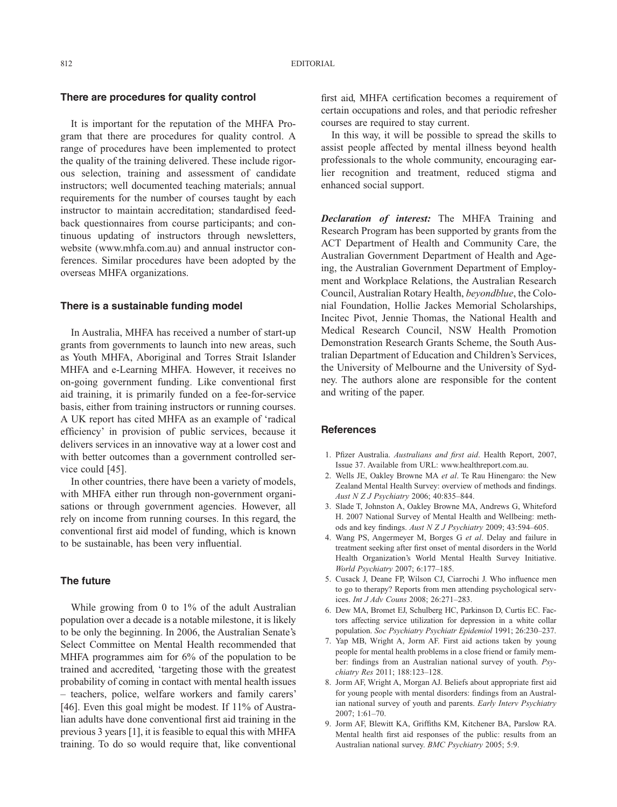## **There are procedures for quality control**

 It is important for the reputation of the MHFA Program that there are procedures for quality control. A range of procedures have been implemented to protect the quality of the training delivered. These include rigorous selection, training and assessment of candidate instructors; well documented teaching materials; annual requirements for the number of courses taught by each instructor to maintain accreditation; standardised feedback questionnaires from course participants; and continuous updating of instructors through newsletters, website (www.mhfa.com.au) and annual instructor conferences. Similar procedures have been adopted by the overseas MHFA organizations.

### **There is a sustainable funding model**

 In Australia, MHFA has received a number of start-up grants from governments to launch into new areas, such as Youth MHFA, Aboriginal and Torres Strait Islander MHFA and e-Learning MHFA *.* However, it receives no on-going government funding. Like conventional first aid training, it is primarily funded on a fee-for-service basis, either from training instructors or running courses. A UK report has cited MHFA as an example of 'radical efficiency' in provision of public services, because it delivers services in an innovative way at a lower cost and with better outcomes than a government controlled service could [45].

 In other countries, there have been a variety of models, with MHFA either run through non-government organisations or through government agencies. However, all rely on income from running courses. In this regard, the conventional first aid model of funding, which is known to be sustainable, has been very influential.

## **The future**

While growing from 0 to 1% of the adult Australian population over a decade is a notable milestone, it is likely to be only the beginning. In 2006, the Australian Senate's Select Committee on Mental Health recommended that MHFA programmes aim for 6% of the population to be trained and accredited, 'targeting those with the greatest probability of coming in contact with mental health issues – teachers, police, welfare workers and family carers ' [46]. Even this goal might be modest. If 11% of Australian adults have done conventional first aid training in the previous 3 years [1], it is feasible to equal this with MHFA training. To do so would require that, like conventional

first aid, MHFA certification becomes a requirement of certain occupations and roles, and that periodic refresher courses are required to stay current.

 In this way, it will be possible to spread the skills to assist people affected by mental illness beyond health professionals to the whole community, encouraging earlier recognition and treatment, reduced stigma and enhanced social support.

*Declaration of interest:* The MHFA Training and Research Program has been supported by grants from the ACT Department of Health and Community Care, the Australian Government Department of Health and Ageing, the Australian Government Department of Employment and Workplace Relations, the Australian Research Council, Australian Rotary Health, *beyondblue* , the Colonial Foundation, Hollie Jackes Memorial Scholarships, Incitec Pivot, Jennie Thomas, the National Health and Medical Research Council, NSW Health Promotion Demonstration Research Grants Scheme, the South Australian Department of Education and Children's Services, the University of Melbourne and the University of Sydney. The authors alone are responsible for the content and writing of the paper.

## **References**

- 1. Pfizer Australia. *Australians and first aid*. Health Report, 2007, Issue 37. Available from URL: www.healthreport.com.au.
- 2. Wells JE, Oakley Browne MA *et al* . Te Rau Hinengaro: the New Zealand Mental Health Survey: overview of methods and findings. *Aust N Z J Psychiatry* 2006; 40:835 – 844.
- 3. Slade T, Johnston A, Oakley Browne MA, Andrews G, Whiteford H. 2007 National Survey of Mental Health and Wellbeing: methods and key findings. *Aust N Z J Psychiatry* 2009; 43:594–605.
- 4. Wang PS, Angermeyer M, Borges G *et al* . Delay and failure in treatment seeking after first onset of mental disorders in the World Health Organization's World Mental Health Survey Initiative. *World Psychiatry* 2007; 6:177-185.
- 5. Cusack J, Deane FP, Wilson CJ, Ciarrochi J. Who influence men to go to therapy? Reports from men attending psychological services. *Int J Adv Couns* 2008; 26:271-283.
- 6. Dew MA, Bromet EJ, Schulberg HC, Parkinson D, Curtis EC. Factors affecting service utilization for depression in a white collar population. *Soc Psychiatry Psychiatr Epidemiol* 1991; 26:230-237.
- 7. Yap MB, Wright A, Jorm AF. First aid actions taken by young people for mental health problems in a close friend or family member: findings from an Australian national survey of youth. Psy*chiatry Res* 2011; 188:123-128.
- 8. Jorm AF, Wright A, Morgan AJ. Beliefs about appropriate first aid for young people with mental disorders: findings from an Australian national survey of youth and parents. *Early Interv Psychiatry* 2007; 1:61-70.
- 9. Jorm AF, Blewitt KA, Griffiths KM, Kitchener BA, Parslow RA. Mental health first aid responses of the public: results from an Australian national survey. *BMC Psychiatry* 2005; 5:9.